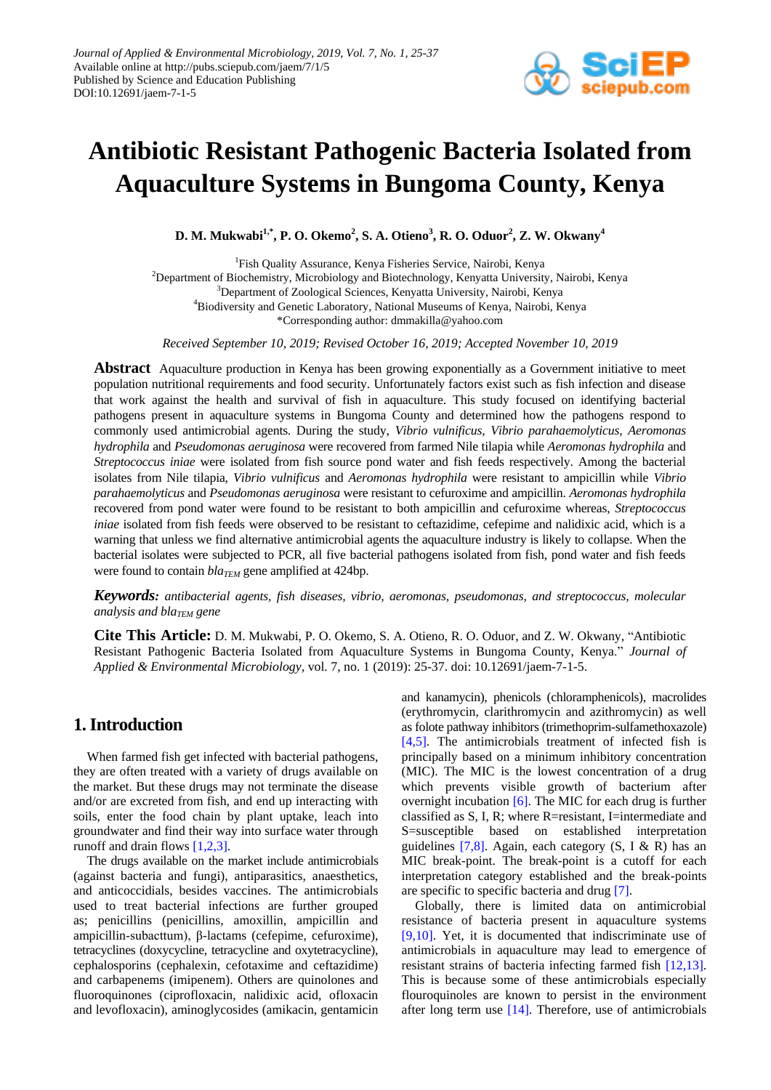

# **Antibiotic Resistant Pathogenic Bacteria Isolated from Aquaculture Systems in Bungoma County, Kenya**

**D. M. Mukwabi1,\*, P. O. Okemo<sup>2</sup> , S. A. Otieno<sup>3</sup> , R. O. Oduor<sup>2</sup> , Z. W. Okwany<sup>4</sup>**

1 Fish Quality Assurance, Kenya Fisheries Service, Nairobi, Kenya <sup>2</sup>Department of Biochemistry, Microbiology and Biotechnology, Kenyatta University, Nairobi, Kenya <sup>3</sup>Department of Zoological Sciences, Kenyatta University, Nairobi, Kenya <sup>4</sup>Biodiversity and Genetic Laboratory, National Museums of Kenya, Nairobi, Kenya \*Corresponding author: dmmakilla@yahoo.com

*Received September 10, 2019; Revised October 16, 2019; Accepted November 10, 2019*

**Abstract** Aquaculture production in Kenya has been growing exponentially as a Government initiative to meet population nutritional requirements and food security. Unfortunately factors exist such as fish infection and disease that work against the health and survival of fish in aquaculture. This study focused on identifying bacterial pathogens present in aquaculture systems in Bungoma County and determined how the pathogens respond to commonly used antimicrobial agents. During the study, *Vibrio vulnificus, Vibrio parahaemolyticus, Aeromonas hydrophila* and *Pseudomonas aeruginosa* were recovered from farmed Nile tilapia while *Aeromonas hydrophila* and *Streptococcus iniae* were isolated from fish source pond water and fish feeds respectively. Among the bacterial isolates from Nile tilapia, *Vibrio vulnificus* and *Aeromonas hydrophila* were resistant to ampicillin while *Vibrio parahaemolyticus* and *Pseudomonas aeruginosa* were resistant to cefuroxime and ampicillin. *Aeromonas hydrophila* recovered from pond water were found to be resistant to both ampicillin and cefuroxime whereas, *Streptococcus iniae* isolated from fish feeds were observed to be resistant to ceftazidime, cefepime and nalidixic acid, which is a warning that unless we find alternative antimicrobial agents the aquaculture industry is likely to collapse. When the bacterial isolates were subjected to PCR, all five bacterial pathogens isolated from fish, pond water and fish feeds were found to contain  $bla_{TEM}$  gene amplified at 424bp.

*Keywords: antibacterial agents, fish diseases, vibrio, aeromonas, pseudomonas, and streptococcus, molecular analysis and blaTEM gene*

**Cite This Article:** D. M. Mukwabi, P. O. Okemo, S. A. Otieno, R. O. Oduor, and Z. W. Okwany, "Antibiotic Resistant Pathogenic Bacteria Isolated from Aquaculture Systems in Bungoma County, Kenya." *Journal of Applied & Environmental Microbiology*, vol. 7, no. 1 (2019): 25-37. doi: 10.12691/jaem-7-1-5.

# **1. Introduction**

When farmed fish get infected with bacterial pathogens, they are often treated with a variety of drugs available on the market. But these drugs may not terminate the disease and/or are excreted from fish, and end up interacting with soils, enter the food chain by plant uptake, leach into groundwater and find their way into surface water through runoff and drain flows [\[1,2,3\].](#page-11-0)

The drugs available on the market include antimicrobials (against bacteria and fungi), antiparasitics, anaesthetics, and anticoccidials, besides vaccines. The antimicrobials used to treat bacterial infections are further grouped as; penicillins (penicillins, amoxillin, ampicillin and ampicillin-subacttum), β-lactams (cefepime, cefuroxime), tetracyclines (doxycycline, tetracycline and oxytetracycline), cephalosporins (cephalexin, cefotaxime and ceftazidime) and carbapenems (imipenem). Others are quinolones and fluoroquinones (ciprofloxacin, nalidixic acid, ofloxacin and levofloxacin), aminoglycosides (amikacin, gentamicin

and kanamycin), phenicols (chloramphenicols), macrolides (erythromycin, clarithromycin and azithromycin) as well as folote pathway inhibitors (trimethoprim-sulfamethoxazole) [\[4,5\].](#page-11-1) The antimicrobials treatment of infected fish is principally based on a minimum inhibitory concentration (MIC). The MIC is the lowest concentration of a drug which prevents visible growth of bacterium after overnight incubation [\[6\].](#page-11-2) The MIC for each drug is further classified as S, I, R; where R=resistant, I=intermediate and S=susceptible based on established interpretation guidelines  $[7,8]$ . Again, each category  $(S, I \& R)$  has an MIC break-point. The break-point is a cutoff for each interpretation category established and the break-points are specific to specific bacteria and drug [\[7\].](#page-11-3)

Globally, there is limited data on antimicrobial resistance of bacteria present in aquaculture systems [\[9,10\].](#page-11-4) Yet, it is documented that indiscriminate use of antimicrobials in aquaculture may lead to emergence of resistant strains of bacteria infecting farmed fish [\[12,13\].](#page-11-5) This is because some of these antimicrobials especially flouroquinoles are known to persist in the environment after long term use [\[14\].](#page-12-0) Therefore, use of antimicrobials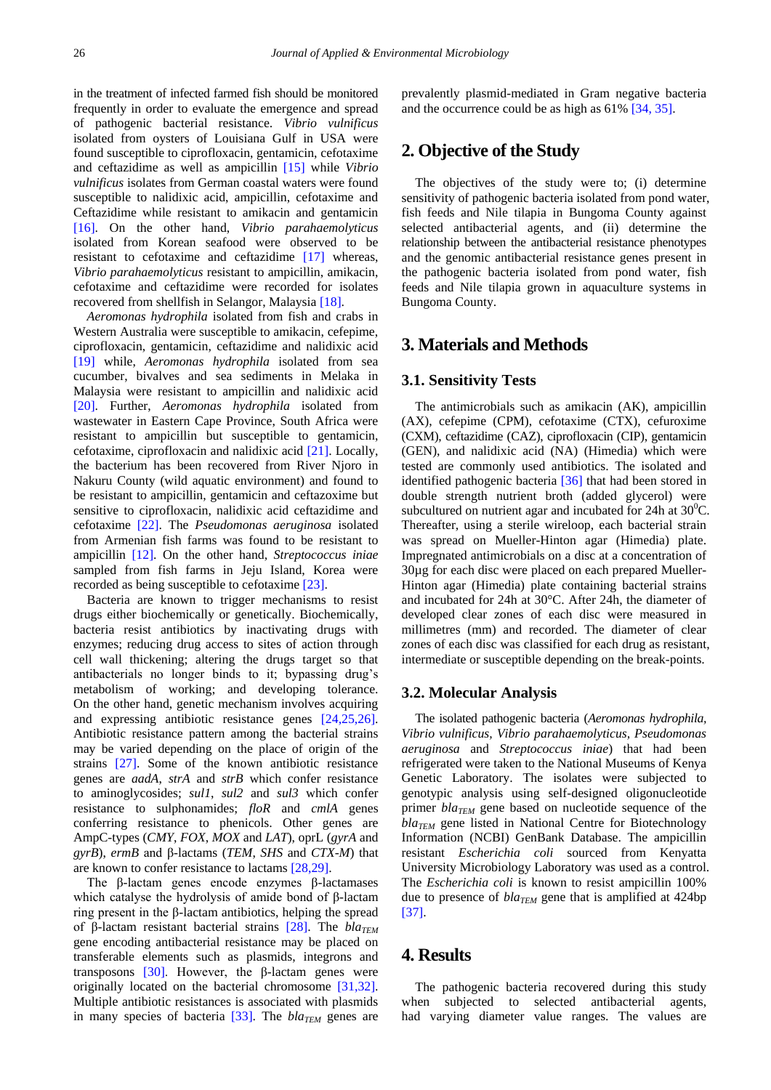in the treatment of infected farmed fish should be monitored frequently in order to evaluate the emergence and spread of pathogenic bacterial resistance. *Vibrio vulnificus*  isolated from oysters of Louisiana Gulf in USA were found susceptible to ciprofloxacin, gentamicin, cefotaxime and ceftazidime as well as ampicillin [\[15\]](#page-12-1) while *Vibrio vulnificus* isolates from German coastal waters were found susceptible to nalidixic acid, ampicillin, cefotaxime and Ceftazidime while resistant to amikacin and gentamicin [\[16\].](#page-12-2) On the other hand, *Vibrio parahaemolyticus*  isolated from Korean seafood were observed to be resistant to cefotaxime and ceftazidime [\[17\]](#page-12-3) whereas, *Vibrio parahaemolyticus* resistant to ampicillin, amikacin, cefotaxime and ceftazidime were recorded for isolates recovered from shellfish in Selangor, Malaysia [\[18\].](#page-12-4)

*Aeromonas hydrophila* isolated from fish and crabs in Western Australia were susceptible to amikacin, cefepime, ciprofloxacin, gentamicin, ceftazidime and nalidixic acid [\[19\]](#page-12-5) while, *Aeromonas hydrophila* isolated from sea cucumber, bivalves and sea sediments in Melaka in Malaysia were resistant to ampicillin and nalidixic acid [\[20\].](#page-12-6) Further, *Aeromonas hydrophila* isolated from wastewater in Eastern Cape Province, South Africa were resistant to ampicillin but susceptible to gentamicin, cefotaxime, ciprofloxacin and nalidixic acid [\[21\].](#page-12-7) Locally, the bacterium has been recovered from River Njoro in Nakuru County (wild aquatic environment) and found to be resistant to ampicillin, gentamicin and ceftazoxime but sensitive to ciprofloxacin, nalidixic acid ceftazidime and cefotaxime [\[22\].](#page-12-8) The *Pseudomonas aeruginosa* isolated from Armenian fish farms was found to be resistant to ampicillin [\[12\].](#page-11-5) On the other hand, *Streptococcus iniae*  sampled from fish farms in Jeju Island, Korea were recorded as being susceptible to cefotaxime [\[23\].](#page-12-9)

Bacteria are known to trigger mechanisms to resist drugs either biochemically or genetically. Biochemically, bacteria resist antibiotics by inactivating drugs with enzymes; reducing drug access to sites of action through cell wall thickening; altering the drugs target so that antibacterials no longer binds to it; bypassing drug's metabolism of working; and developing tolerance. On the other hand, genetic mechanism involves acquiring and expressing antibiotic resistance genes [\[24,25,26\].](#page-12-10) Antibiotic resistance pattern among the bacterial strains may be varied depending on the place of origin of the strains [\[27\].](#page-12-11) Some of the known antibiotic resistance genes are *aadA*, *strA* and *strB* which confer resistance to aminoglycosides; *sul1*, *sul2* and *sul3* which confer resistance to sulphonamides; *floR* and *cmlA* genes conferring resistance to phenicols. Other genes are AmpC-types (*CMY*, *FOX*, *MOX* and *LAT*), oprL (*gyrA* and *gyrB*), *ermB* and β-lactams (*TEM*, *SHS* and *CTX-M*) that are known to confer resistance to lactam[s \[28,29\].](#page-12-12)

The β-lactam genes encode enzymes β-lactamases which catalyse the hydrolysis of amide bond of β-lactam ring present in the β-lactam antibiotics, helping the spread of β-lactam resistant bacterial strains [\[28\].](#page-12-12) The *blaTEM* gene encoding antibacterial resistance may be placed on transferable elements such as plasmids, integrons and transposons  $[30]$ . However, the β-lactam genes were originally located on the bacterial chromosome [\[31,32\].](#page-12-14) Multiple antibiotic resistances is associated with plasmids in many species of bacteria [\[33\].](#page-12-15) The *bla<sub>TEM</sub>* genes are prevalently plasmid-mediated in Gram negative bacteria and the occurrence could be as high as 61[% \[34, 35\].](#page-12-16)

# **2. Objective of the Study**

The objectives of the study were to; (i) determine sensitivity of pathogenic bacteria isolated from pond water, fish feeds and Nile tilapia in Bungoma County against selected antibacterial agents, and (ii) determine the relationship between the antibacterial resistance phenotypes and the genomic antibacterial resistance genes present in the pathogenic bacteria isolated from pond water, fish feeds and Nile tilapia grown in aquaculture systems in Bungoma County.

# **3. Materials and Methods**

#### **3.1. Sensitivity Tests**

The antimicrobials such as amikacin (AK), ampicillin (AX), cefepime (CPM), cefotaxime (CTX), cefuroxime (CXM), ceftazidime (CAZ), ciprofloxacin (CIP), gentamicin (GEN), and nalidixic acid (NA) (Himedia) which were tested are commonly used antibiotics. The isolated and identified pathogenic bacteria [\[36\]](#page-12-17) that had been stored in double strength nutrient broth (added glycerol) were subcultured on nutrient agar and incubated for 24h at  $30^{\circ}$ C. Thereafter, using a sterile wireloop, each bacterial strain was spread on Mueller-Hinton agar (Himedia) plate. Impregnated antimicrobials on a disc at a concentration of 30µg for each disc were placed on each prepared Mueller-Hinton agar (Himedia) plate containing bacterial strains and incubated for 24h at 30°C. After 24h, the diameter of developed clear zones of each disc were measured in millimetres (mm) and recorded. The diameter of clear zones of each disc was classified for each drug as resistant, intermediate or susceptible depending on the break-points.

#### **3.2. Molecular Analysis**

The isolated pathogenic bacteria (*Aeromonas hydrophila, Vibrio vulnificus, Vibrio parahaemolyticus, Pseudomonas aeruginosa* and *Streptococcus iniae*) that had been refrigerated were taken to the National Museums of Kenya Genetic Laboratory. The isolates were subjected to genotypic analysis using self-designed oligonucleotide primer *blaTEM* gene based on nucleotide sequence of the *blaTEM* gene listed in National Centre for Biotechnology Information (NCBI) GenBank Database. The ampicillin resistant *Escherichia coli* sourced from Kenyatta University Microbiology Laboratory was used as a control. The *Escherichia coli* is known to resist ampicillin 100% due to presence of *blaTEM* gene that is amplified at 424bp [\[37\].](#page-12-18)

## **4. Results**

The pathogenic bacteria recovered during this study when subjected to selected antibacterial agents, had varying diameter value ranges. The values are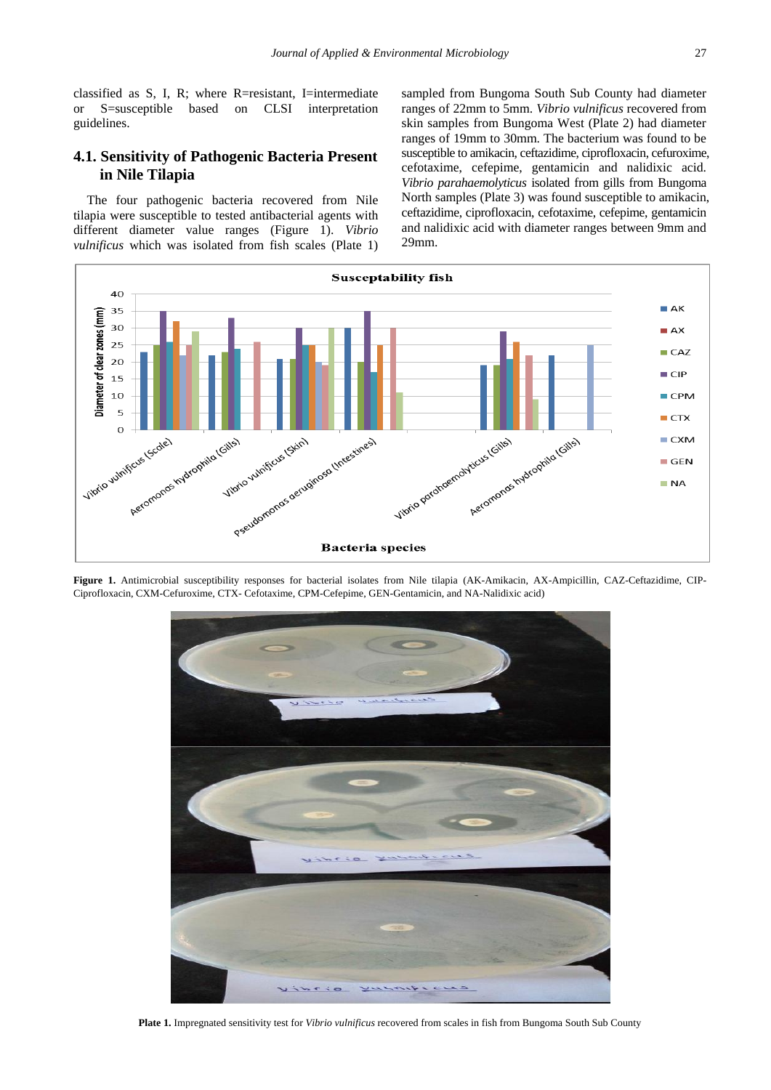classified as S, I, R; where R=resistant, I=intermediate or S=susceptible based on CLSI interpretation guidelines.

## **4.1. Sensitivity of Pathogenic Bacteria Present in Nile Tilapia**

The four pathogenic bacteria recovered from Nile tilapia were susceptible to tested antibacterial agents with different diameter value ranges (Figure 1). *Vibrio vulnificus* which was isolated from fish scales (Plate 1) sampled from Bungoma South Sub County had diameter ranges of 22mm to 5mm. *Vibrio vulnificus* recovered from skin samples from Bungoma West (Plate 2) had diameter ranges of 19mm to 30mm. The bacterium was found to be susceptible to amikacin, ceftazidime, ciprofloxacin, cefuroxime, cefotaxime, cefepime, gentamicin and nalidixic acid. *Vibrio parahaemolyticus* isolated from gills from Bungoma North samples (Plate 3) was found susceptible to amikacin, ceftazidime, ciprofloxacin, cefotaxime, cefepime, gentamicin and nalidixic acid with diameter ranges between 9mm and 29mm.



**Figure 1.** Antimicrobial susceptibility responses for bacterial isolates from Nile tilapia (AK-Amikacin, AX-Ampicillin, CAZ-Ceftazidime, CIP-Ciprofloxacin, CXM-Cefuroxime, CTX- Cefotaxime, CPM-Cefepime, GEN-Gentamicin, and NA-Nalidixic acid)



**Plate 1.** Impregnated sensitivity test for *Vibrio vulnificus* recovered from scales in fish from Bungoma South Sub County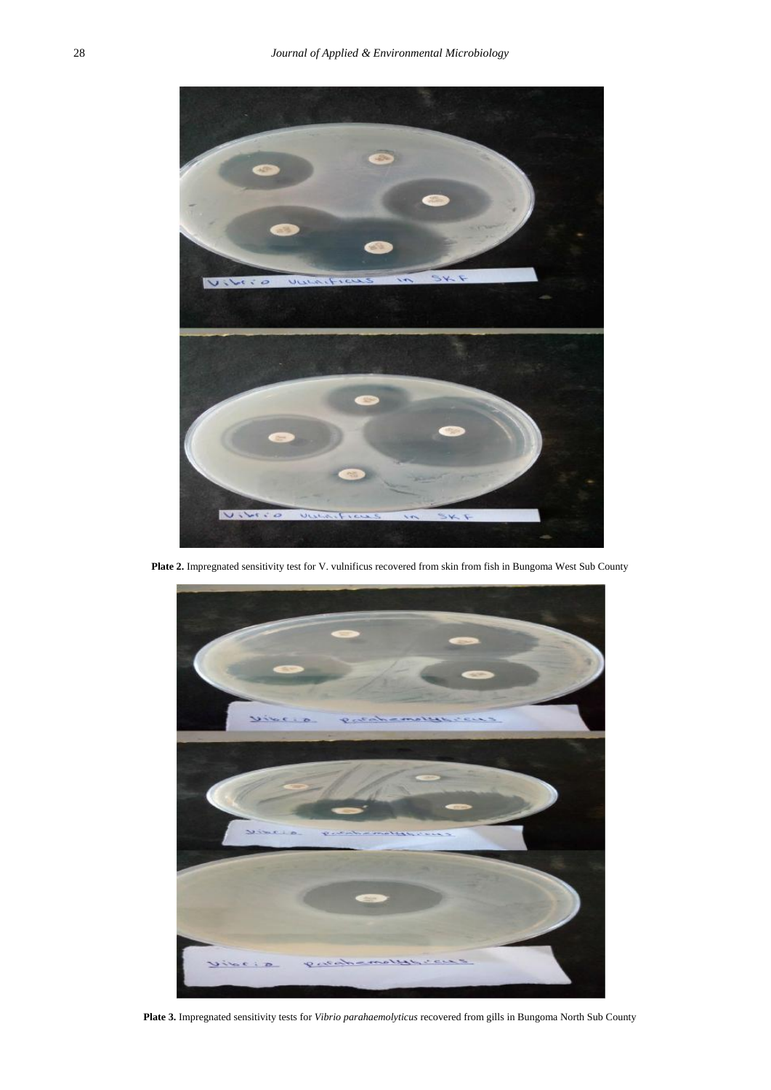

**Plate 2.** Impregnated sensitivity test for V. vulnificus recovered from skin from fish in Bungoma West Sub County



**Plate 3.** Impregnated sensitivity tests for *Vibrio parahaemolyticus* recovered from gills in Bungoma North Sub County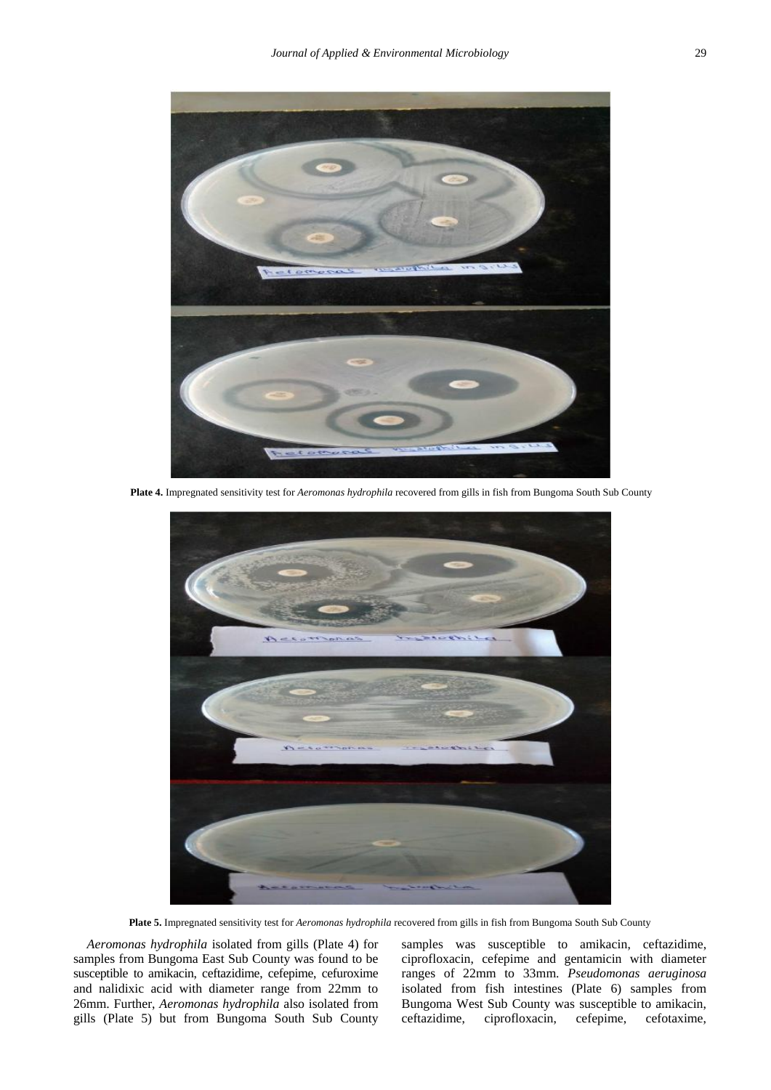

**Plate 4.** Impregnated sensitivity test for *Aeromonas hydrophila* recovered from gills in fish from Bungoma South Sub County



**Plate 5.** Impregnated sensitivity test for *Aeromonas hydrophila* recovered from gills in fish from Bungoma South Sub County

*Aeromonas hydrophila* isolated from gills (Plate 4) for samples from Bungoma East Sub County was found to be susceptible to amikacin, ceftazidime, cefepime, cefuroxime and nalidixic acid with diameter range from 22mm to 26mm. Further, *Aeromonas hydrophila* also isolated from gills (Plate 5) but from Bungoma South Sub County

samples was susceptible to amikacin, ceftazidime, ciprofloxacin, cefepime and gentamicin with diameter ranges of 22mm to 33mm. *Pseudomonas aeruginosa*  isolated from fish intestines (Plate 6) samples from Bungoma West Sub County was susceptible to amikacin, ceftazidime, ciprofloxacin, cefepime, cefotaxime,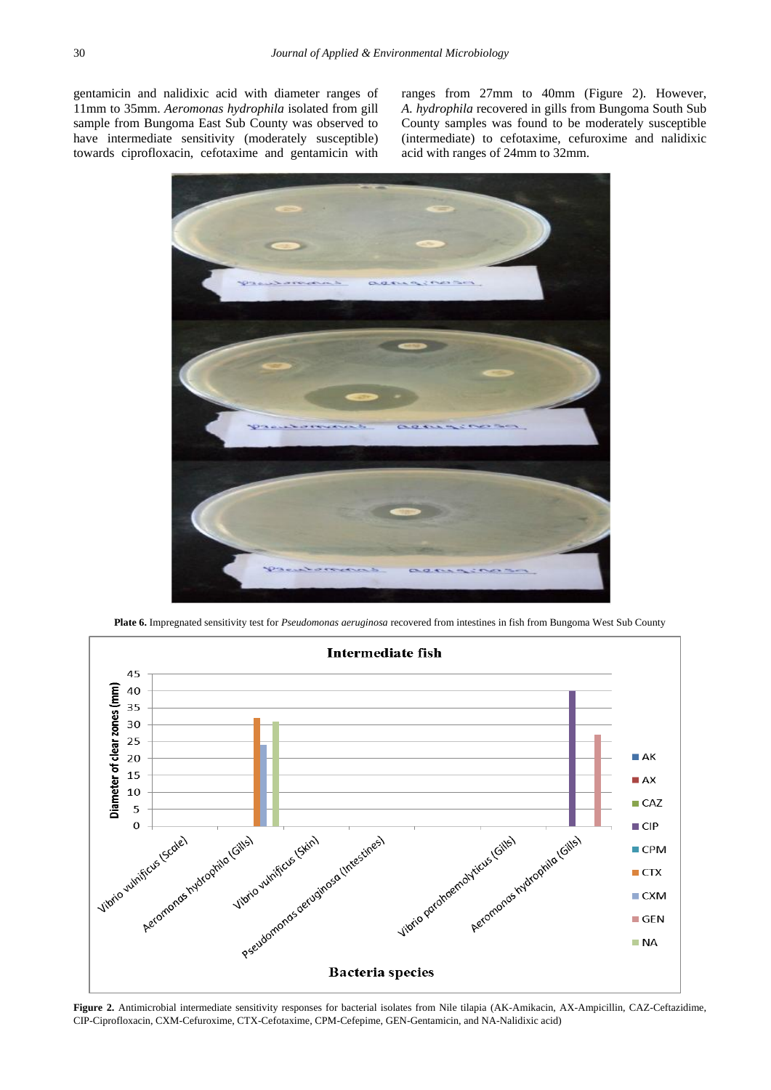gentamicin and nalidixic acid with diameter ranges of 11mm to 35mm. *Aeromonas hydrophila* isolated from gill sample from Bungoma East Sub County was observed to have intermediate sensitivity (moderately susceptible) towards ciprofloxacin, cefotaxime and gentamicin with

ranges from 27mm to 40mm (Figure 2). However, *A. hydrophila* recovered in gills from Bungoma South Sub County samples was found to be moderately susceptible (intermediate) to cefotaxime, cefuroxime and nalidixic acid with ranges of 24mm to 32mm.





**Plate 6.** Impregnated sensitivity test for *Pseudomonas aeruginosa* recovered from intestines in fish from Bungoma West Sub County

**Figure 2.** Antimicrobial intermediate sensitivity responses for bacterial isolates from Nile tilapia (AK-Amikacin, AX-Ampicillin, CAZ-Ceftazidime, CIP-Ciprofloxacin, CXM-Cefuroxime, CTX-Cefotaxime, CPM-Cefepime, GEN-Gentamicin, and NA-Nalidixic acid)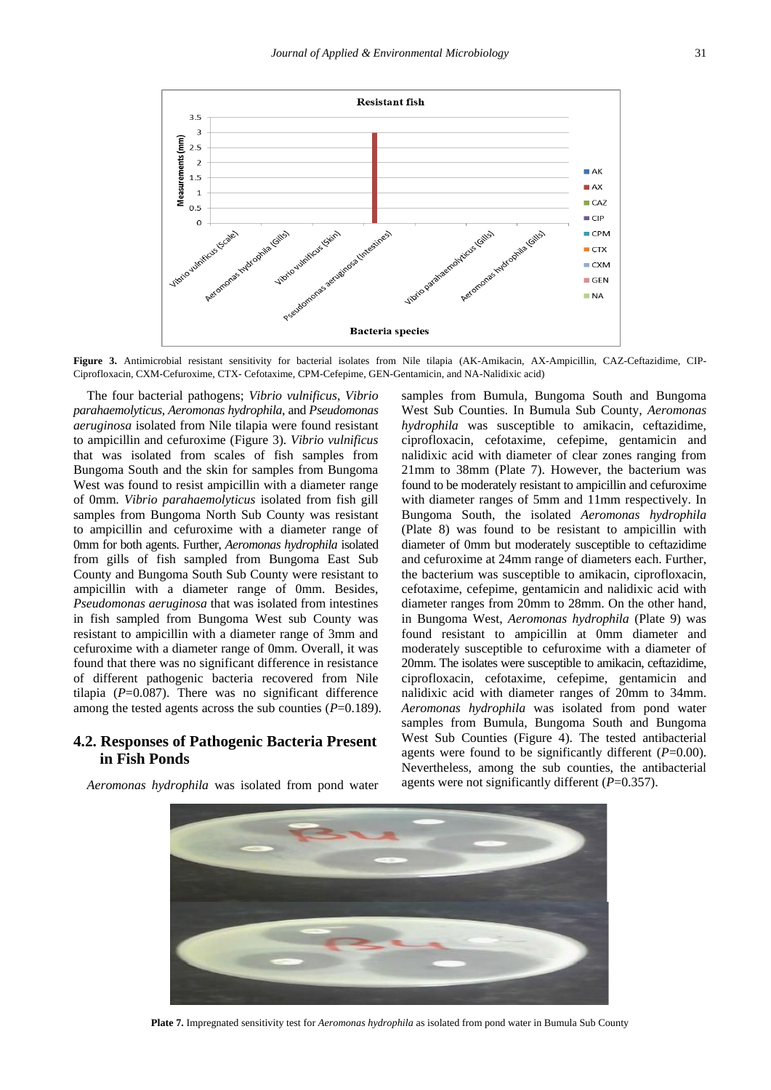

**Figure 3.** Antimicrobial resistant sensitivity for bacterial isolates from Nile tilapia (AK-Amikacin, AX-Ampicillin, CAZ-Ceftazidime, CIP-Ciprofloxacin, CXM-Cefuroxime, CTX- Cefotaxime, CPM-Cefepime, GEN-Gentamicin, and NA-Nalidixic acid)

The four bacterial pathogens; *Vibrio vulnificus*, *Vibrio parahaemolyticus, Aeromonas hydrophila*, and *Pseudomonas aeruginosa* isolated from Nile tilapia were found resistant to ampicillin and cefuroxime (Figure 3). *Vibrio vulnificus*  that was isolated from scales of fish samples from Bungoma South and the skin for samples from Bungoma West was found to resist ampicillin with a diameter range of 0mm. *Vibrio parahaemolyticus* isolated from fish gill samples from Bungoma North Sub County was resistant to ampicillin and cefuroxime with a diameter range of 0mm for both agents. Further, *Aeromonas hydrophila* isolated from gills of fish sampled from Bungoma East Sub County and Bungoma South Sub County were resistant to ampicillin with a diameter range of 0mm. Besides, *Pseudomonas aeruginosa* that was isolated from intestines in fish sampled from Bungoma West sub County was resistant to ampicillin with a diameter range of 3mm and cefuroxime with a diameter range of 0mm. Overall, it was found that there was no significant difference in resistance of different pathogenic bacteria recovered from Nile tilapia (*P*=0.087). There was no significant difference among the tested agents across the sub counties (*P*=0.189).

## **4.2. Responses of Pathogenic Bacteria Present in Fish Ponds**

*Aeromonas hydrophila* was isolated from pond water

samples from Bumula, Bungoma South and Bungoma West Sub Counties. In Bumula Sub County, *Aeromonas hydrophila* was susceptible to amikacin, ceftazidime, ciprofloxacin, cefotaxime, cefepime, gentamicin and nalidixic acid with diameter of clear zones ranging from 21mm to 38mm (Plate 7). However, the bacterium was found to be moderately resistant to ampicillin and cefuroxime with diameter ranges of 5mm and 11mm respectively. In Bungoma South, the isolated *Aeromonas hydrophila*  (Plate 8) was found to be resistant to ampicillin with diameter of 0mm but moderately susceptible to ceftazidime and cefuroxime at 24mm range of diameters each. Further, the bacterium was susceptible to amikacin, ciprofloxacin, cefotaxime, cefepime, gentamicin and nalidixic acid with diameter ranges from 20mm to 28mm. On the other hand, in Bungoma West, *Aeromonas hydrophila* (Plate 9) was found resistant to ampicillin at 0mm diameter and moderately susceptible to cefuroxime with a diameter of 20mm. The isolates were susceptible to amikacin, ceftazidime, ciprofloxacin, cefotaxime, cefepime, gentamicin and nalidixic acid with diameter ranges of 20mm to 34mm. *Aeromonas hydrophila* was isolated from pond water samples from Bumula, Bungoma South and Bungoma West Sub Counties (Figure 4). The tested antibacterial agents were found to be significantly different (*P*=0.00). Nevertheless, among the sub counties, the antibacterial agents were not significantly different (*P*=0.357).



**Plate 7.** Impregnated sensitivity test for *Aeromonas hydrophila* as isolated from pond water in Bumula Sub County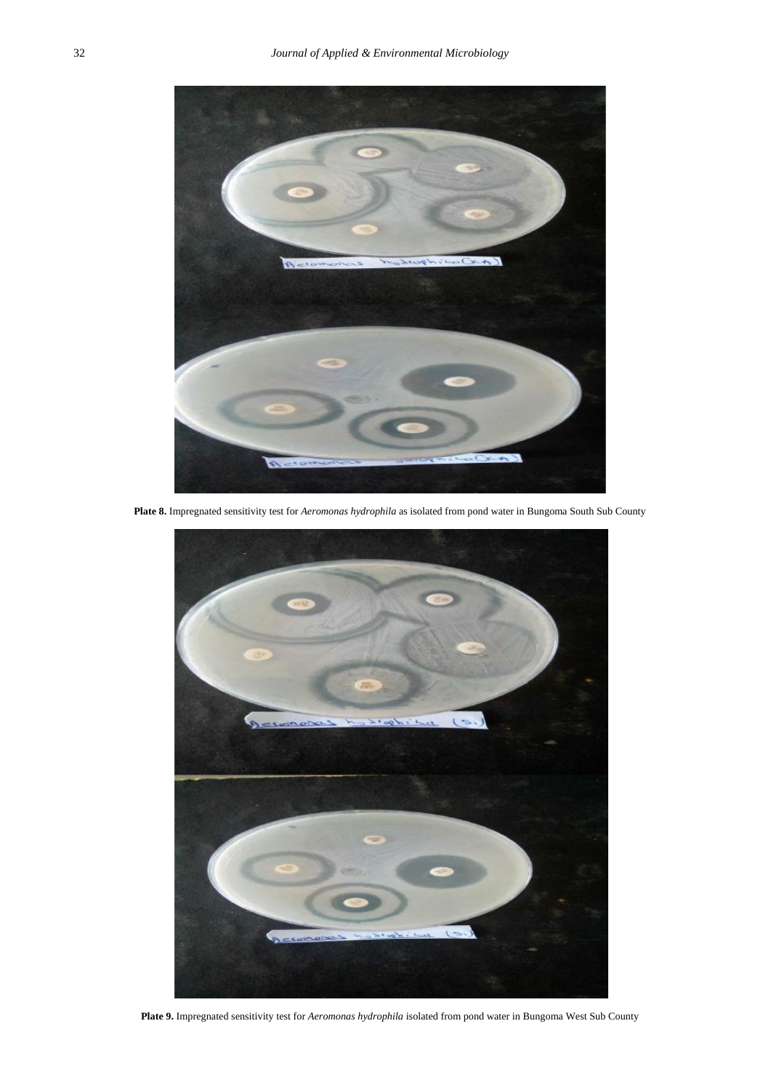

**Plate 8.** Impregnated sensitivity test for *Aeromonas hydrophila* as isolated from pond water in Bungoma South Sub County



**Plate 9.** Impregnated sensitivity test for *Aeromonas hydrophila* isolated from pond water in Bungoma West Sub County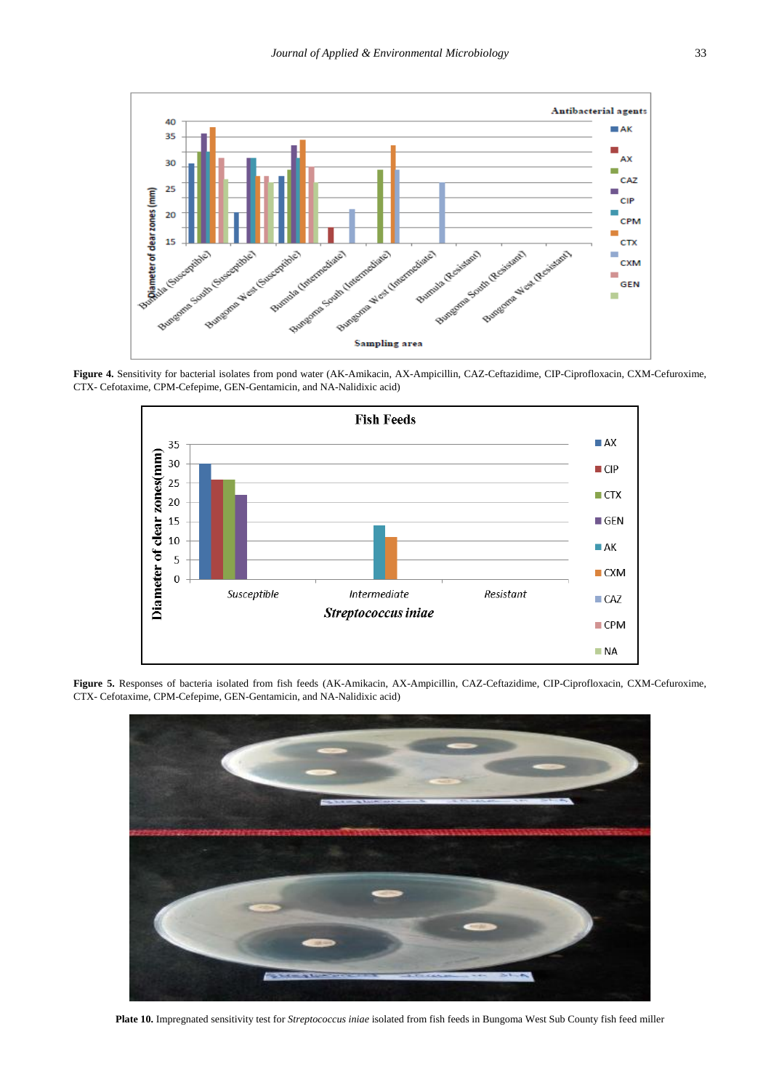

**Figure 4.** Sensitivity for bacterial isolates from pond water (AK-Amikacin, AX-Ampicillin, CAZ-Ceftazidime, CIP-Ciprofloxacin, CXM-Cefuroxime, CTX- Cefotaxime, CPM-Cefepime, GEN-Gentamicin, and NA-Nalidixic acid)



**Figure 5.** Responses of bacteria isolated from fish feeds (AK-Amikacin, AX-Ampicillin, CAZ-Ceftazidime, CIP-Ciprofloxacin, CXM-Cefuroxime, CTX- Cefotaxime, CPM-Cefepime, GEN-Gentamicin, and NA-Nalidixic acid)



**Plate 10.** Impregnated sensitivity test for *Streptococcus iniae* isolated from fish feeds in Bungoma West Sub County fish feed miller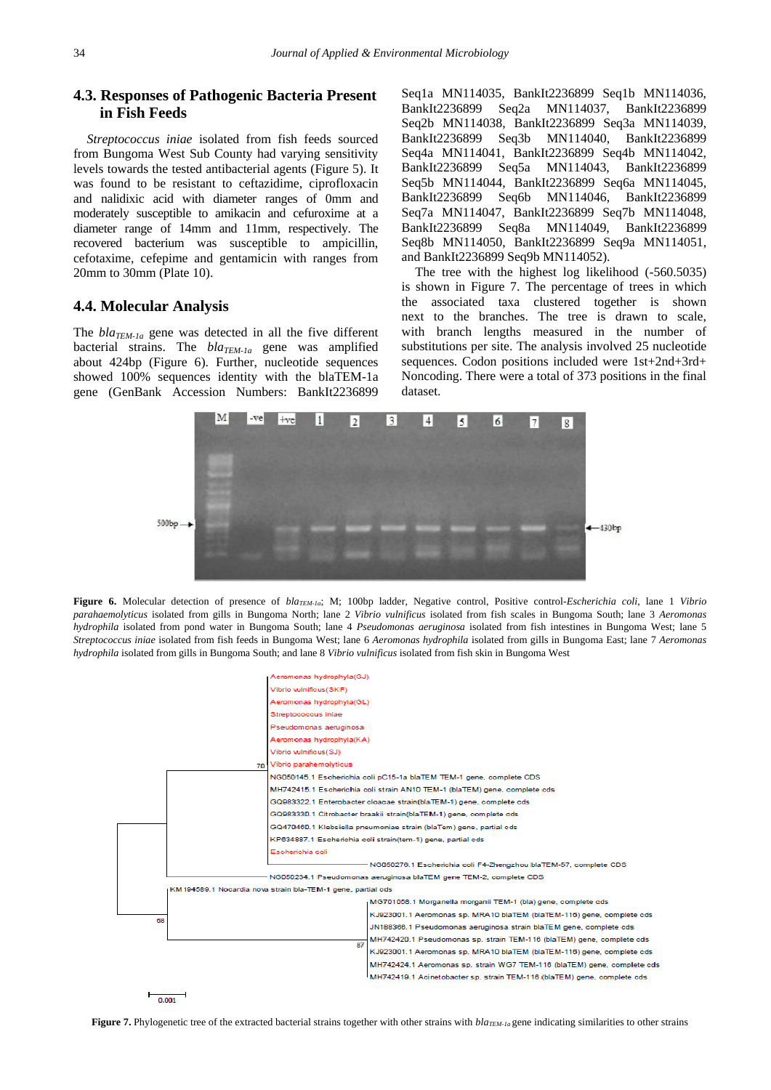# **4.3. Responses of Pathogenic Bacteria Present in Fish Feeds**

*Streptococcus iniae* isolated from fish feeds sourced from Bungoma West Sub County had varying sensitivity levels towards the tested antibacterial agents (Figure 5). It was found to be resistant to ceftazidime, ciprofloxacin and nalidixic acid with diameter ranges of 0mm and moderately susceptible to amikacin and cefuroxime at a diameter range of 14mm and 11mm, respectively. The recovered bacterium was susceptible to ampicillin, cefotaxime, cefepime and gentamicin with ranges from 20mm to 30mm (Plate 10).

#### **4.4. Molecular Analysis**

The *blaTEM-1a* gene was detected in all the five different bacterial strains. The *blaTEM-1a* gene was amplified about 424bp (Figure 6). Further, nucleotide sequences showed 100% sequences identity with the blaTEM-1a gene (GenBank Accession Numbers: BankIt2236899

Seq1a MN114035, BankIt2236899 Seq1b MN114036, BankIt2236899 Seq2a MN114037, BankIt2236899 Seq2b MN114038, BankIt2236899 Seq3a MN114039, BankIt2236899 Seq3b MN114040, BankIt2236899 Seq4a MN114041, BankIt2236899 Seq4b MN114042, BankIt2236899 Seq5a MN114043, BankIt2236899 Seq5b MN114044, BankIt2236899 Seq6a MN114045, BankIt2236899 Seq6b MN114046, BankIt2236899 Seq7a MN114047, BankIt2236899 Seq7b MN114048, BankIt2236899 Seq8a MN114049, BankIt2236899 Seq8b MN114050, BankIt2236899 Seq9a MN114051, and BankIt2236899 Seq9b MN114052).

The tree with the highest log likelihood (-560.5035) is shown in Figure 7. The percentage of trees in which the associated taxa clustered together is shown next to the branches. The tree is drawn to scale, with branch lengths measured in the number of substitutions per site. The analysis involved 25 nucleotide sequences. Codon positions included were 1st+2nd+3rd+ Noncoding. There were a total of 373 positions in the final dataset.



**Figure 6.** Molecular detection of presence of *blaTEM-1a*; M; 100bp ladder, Negative control, Positive control-*Escherichia coli*, lane 1 *Vibrio parahaemolyticus* isolated from gills in Bungoma North; lane 2 *Vibrio vulnificus* isolated from fish scales in Bungoma South; lane 3 *Aeromonas hydrophila* isolated from pond water in Bungoma South; lane 4 *Pseudomonas aeruginosa* isolated from fish intestines in Bungoma West; lane 5 *Streptococcus iniae* isolated from fish feeds in Bungoma West; lane 6 *Aeromonas hydrophila* isolated from gills in Bungoma East; lane 7 *Aeromonas hydrophila* isolated from gills in Bungoma South; and lane 8 *Vibrio vulnificus* isolated from fish skin in Bungoma West



**Figure 7.** Phylogenetic tree of the extracted bacterial strains together with other strains with *blaTEM-1a* gene indicating similarities to other strains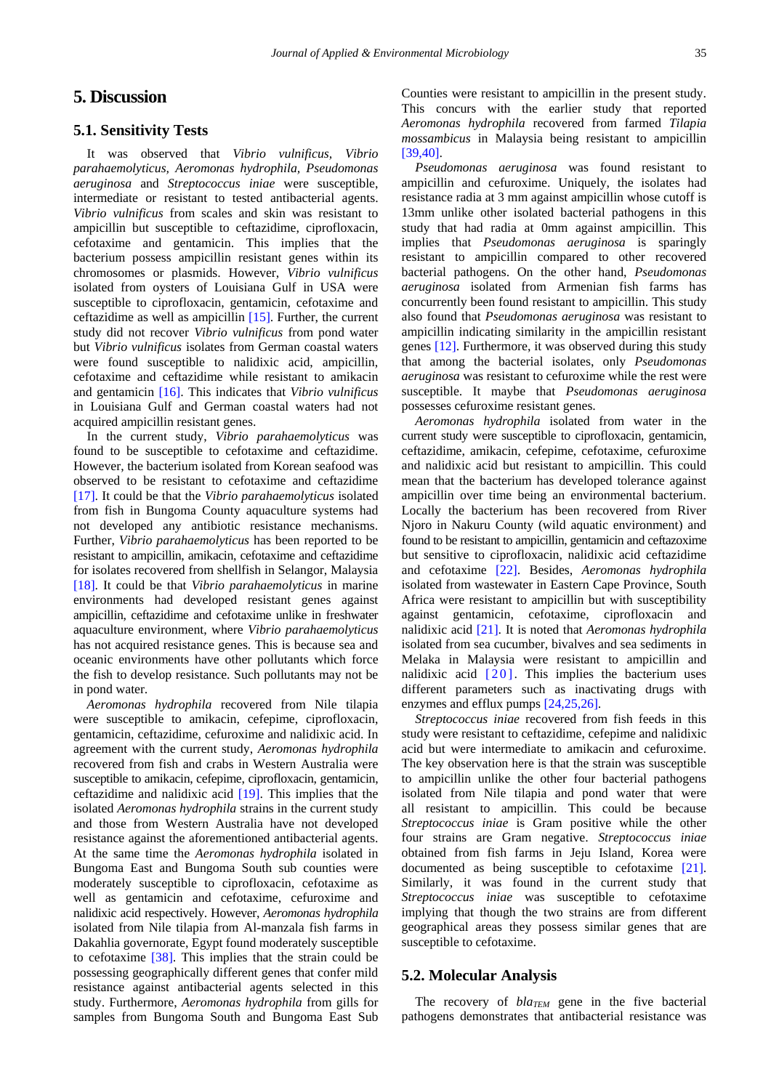# **5. Discussion**

#### **5.1. Sensitivity Tests**

It was observed that *Vibrio vulnificus, Vibrio parahaemolyticus, Aeromonas hydrophila, Pseudomonas aeruginosa* and *Streptococcus iniae* were susceptible, intermediate or resistant to tested antibacterial agents. *Vibrio vulnificus* from scales and skin was resistant to ampicillin but susceptible to ceftazidime, ciprofloxacin, cefotaxime and gentamicin. This implies that the bacterium possess ampicillin resistant genes within its chromosomes or plasmids. However, *Vibrio vulnificus*  isolated from oysters of Louisiana Gulf in USA were susceptible to ciprofloxacin, gentamicin, cefotaxime and ceftazidime as well as ampicillin [\[15\].](#page-12-1) Further, the current study did not recover *Vibrio vulnificus* from pond water but *Vibrio vulnificus* isolates from German coastal waters were found susceptible to nalidixic acid, ampicillin, cefotaxime and ceftazidime while resistant to amikacin and gentamicin [\[16\].](#page-12-2) This indicates that *Vibrio vulnificus*  in Louisiana Gulf and German coastal waters had not acquired ampicillin resistant genes.

In the current study, *Vibrio parahaemolyticus* was found to be susceptible to cefotaxime and ceftazidime. However, the bacterium isolated from Korean seafood was observed to be resistant to cefotaxime and ceftazidime [\[17\].](#page-12-3) It could be that the *Vibrio parahaemolyticus* isolated from fish in Bungoma County aquaculture systems had not developed any antibiotic resistance mechanisms. Further, *Vibrio parahaemolyticus* has been reported to be resistant to ampicillin, amikacin, cefotaxime and ceftazidime for isolates recovered from shellfish in Selangor, Malaysia [\[18\].](#page-12-4) It could be that *Vibrio parahaemolyticus* in marine environments had developed resistant genes against ampicillin, ceftazidime and cefotaxime unlike in freshwater aquaculture environment, where *Vibrio parahaemolyticus*  has not acquired resistance genes. This is because sea and oceanic environments have other pollutants which force the fish to develop resistance. Such pollutants may not be in pond water.

*Aeromonas hydrophila* recovered from Nile tilapia were susceptible to amikacin, cefepime, ciprofloxacin, gentamicin, ceftazidime, cefuroxime and nalidixic acid. In agreement with the current study, *Aeromonas hydrophila*  recovered from fish and crabs in Western Australia were susceptible to amikacin, cefepime, ciprofloxacin, gentamicin, ceftazidime and nalidixic acid [\[19\].](#page-12-5) This implies that the isolated *Aeromonas hydrophila* strains in the current study and those from Western Australia have not developed resistance against the aforementioned antibacterial agents. At the same time the *Aeromonas hydrophila* isolated in Bungoma East and Bungoma South sub counties were moderately susceptible to ciprofloxacin, cefotaxime as well as gentamicin and cefotaxime, cefuroxime and nalidixic acid respectively. However, *Aeromonas hydrophila* isolated from Nile tilapia from Al-manzala fish farms in Dakahlia governorate, Egypt found moderately susceptible to cefotaxime [\[38\].](#page-12-19) This implies that the strain could be possessing geographically different genes that confer mild resistance against antibacterial agents selected in this study. Furthermore, *Aeromonas hydrophila* from gills for samples from Bungoma South and Bungoma East Sub

Counties were resistant to ampicillin in the present study. This concurs with the earlier study that reported *Aeromonas hydrophila* recovered from farmed *Tilapia mossambicus* in Malaysia being resistant to ampicillin [\[39,40\].](#page-12-20)

*Pseudomonas aeruginosa* was found resistant to ampicillin and cefuroxime. Uniquely, the isolates had resistance radia at 3 mm against ampicillin whose cutoff is 13mm unlike other isolated bacterial pathogens in this study that had radia at 0mm against ampicillin. This implies that *Pseudomonas aeruginosa* is sparingly resistant to ampicillin compared to other recovered bacterial pathogens. On the other hand, *Pseudomonas aeruginosa* isolated from Armenian fish farms has concurrently been found resistant to ampicillin. This study also found that *Pseudomonas aeruginosa* was resistant to ampicillin indicating similarity in the ampicillin resistant gene[s \[12\].](#page-11-5) Furthermore, it was observed during this study that among the bacterial isolates, only *Pseudomonas aeruginosa* was resistant to cefuroxime while the rest were susceptible. It maybe that *Pseudomonas aeruginosa*  possesses cefuroxime resistant genes.

*Aeromonas hydrophila* isolated from water in the current study were susceptible to ciprofloxacin, gentamicin, ceftazidime, amikacin, cefepime, cefotaxime, cefuroxime and nalidixic acid but resistant to ampicillin. This could mean that the bacterium has developed tolerance against ampicillin over time being an environmental bacterium. Locally the bacterium has been recovered from River Njoro in Nakuru County (wild aquatic environment) and found to be resistant to ampicillin, gentamicin and ceftazoxime but sensitive to ciprofloxacin, nalidixic acid ceftazidime and cefotaxime [\[22\].](#page-12-8) Besides, *Aeromonas hydrophila*  isolated from wastewater in Eastern Cape Province, South Africa were resistant to ampicillin but with susceptibility against gentamicin, cefotaxime, ciprofloxacin and nalidixic acid [\[21\].](#page-12-7) It is noted that *Aeromonas hydrophila*  isolated from sea cucumber, bivalves and sea sediments in Melaka in Malaysia were resistant to ampicillin and nalidixic acid [\[20\].](#page-12-6) This implies the bacterium uses different parameters such as inactivating drugs with enzymes and efflux pumps [\[24,25,26\].](#page-12-10)

*Streptococcus iniae* recovered from fish feeds in this study were resistant to ceftazidime, cefepime and nalidixic acid but were intermediate to amikacin and cefuroxime. The key observation here is that the strain was susceptible to ampicillin unlike the other four bacterial pathogens isolated from Nile tilapia and pond water that were all resistant to ampicillin. This could be because *Streptococcus iniae* is Gram positive while the other four strains are Gram negative. *Streptococcus iniae*  obtained from fish farms in Jeju Island, Korea were documented as being susceptible to cefotaxime [\[21\].](#page-12-7) Similarly, it was found in the current study that *Streptococcus iniae* was susceptible to cefotaxime implying that though the two strains are from different geographical areas they possess similar genes that are susceptible to cefotaxime.

#### **5.2. Molecular Analysis**

The recovery of  $bla_{TEM}$  gene in the five bacterial pathogens demonstrates that antibacterial resistance was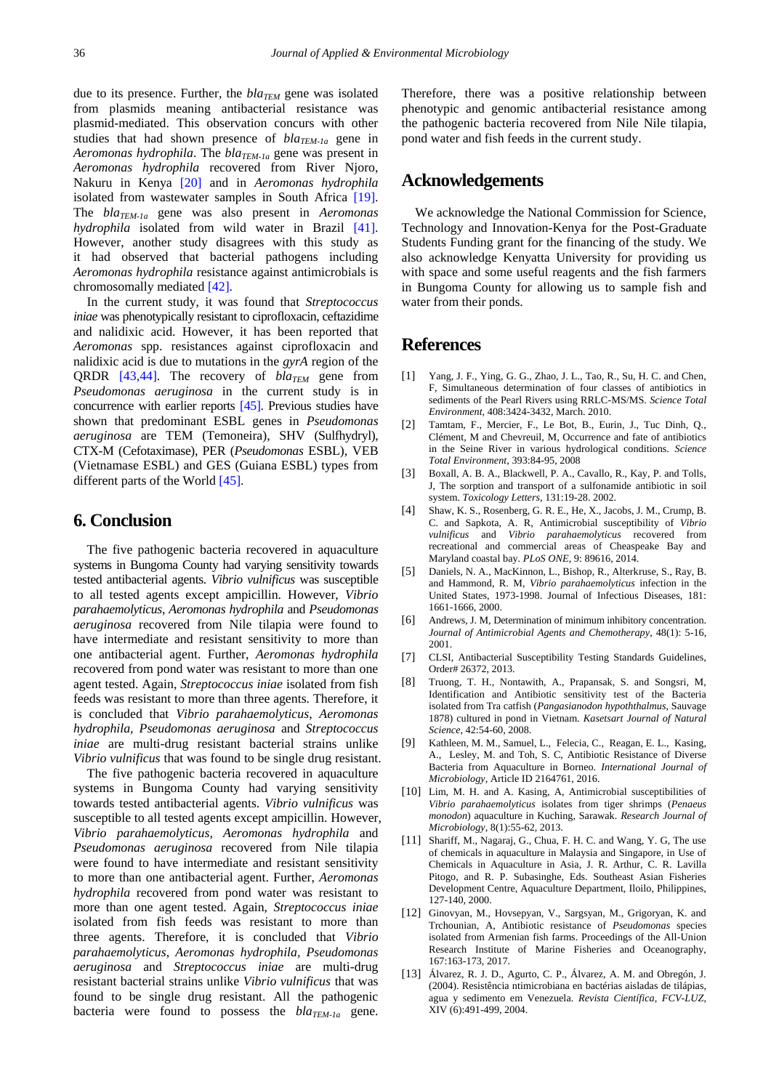due to its presence. Further, the  $bla_{TFM}$  gene was isolated from plasmids meaning antibacterial resistance was plasmid-mediated. This observation concurs with other studies that had shown presence of *blaTEM-1a* gene in *Aeromonas hydrophila*. The *blaTEM-1a* gene was present in *Aeromonas hydrophila* recovered from River Njoro, Nakuru in Kenya [\[20\]](#page-12-6) and in *Aeromonas hydrophila*  isolated from wastewater samples in South Africa [\[19\].](#page-12-5) The *blaTEM-1a* gene was also present in *Aeromonas hydrophila* isolated from wild water in Brazil [\[41\].](#page-12-21) However, another study disagrees with this study as it had observed that bacterial pathogens including *Aeromonas hydrophila* resistance against antimicrobials is chromosomally mediated [\[42\].](#page-12-22)

In the current study, it was found that *Streptococcus iniae* was phenotypically resistant to ciprofloxacin, ceftazidime and nalidixic acid. However, it has been reported that *Aeromonas* spp. resistances against ciprofloxacin and nalidixic acid is due to mutations in the *gyrA* region of the QRDR [\[43,44\].](#page-12-23) The recovery of *blaTEM* gene from *Pseudomonas aeruginosa* in the current study is in concurrence with earlier reports [\[45\].](#page-12-24) Previous studies have shown that predominant ESBL genes in *Pseudomonas aeruginosa* are TEM (Temoneira), SHV (Sulfhydryl), CTX-M (Cefotaximase), PER (*Pseudomonas* ESBL), VEB (Vietnamase ESBL) and GES (Guiana ESBL) types from different parts of the World [\[45\].](#page-12-24)

# **6. Conclusion**

The five pathogenic bacteria recovered in aquaculture systems in Bungoma County had varying sensitivity towards tested antibacterial agents. *Vibrio vulnificus* was susceptible to all tested agents except ampicillin. However, *Vibrio parahaemolyticus*, *Aeromonas hydrophila* and *Pseudomonas aeruginosa* recovered from Nile tilapia were found to have intermediate and resistant sensitivity to more than one antibacterial agent. Further, *Aeromonas hydrophila*  recovered from pond water was resistant to more than one agent tested. Again, *Streptococcus iniae* isolated from fish feeds was resistant to more than three agents. Therefore, it is concluded that *Vibrio parahaemolyticus*, *Aeromonas hydrophila, Pseudomonas aeruginosa* and *Streptococcus iniae* are multi-drug resistant bacterial strains unlike *Vibrio vulnificus* that was found to be single drug resistant.

The five pathogenic bacteria recovered in aquaculture systems in Bungoma County had varying sensitivity towards tested antibacterial agents. *Vibrio vulnificus* was susceptible to all tested agents except ampicillin. However, *Vibrio parahaemolyticus*, *Aeromonas hydrophila* and *Pseudomonas aeruginosa* recovered from Nile tilapia were found to have intermediate and resistant sensitivity to more than one antibacterial agent. Further, *Aeromonas hydrophila* recovered from pond water was resistant to more than one agent tested. Again, *Streptococcus iniae*  isolated from fish feeds was resistant to more than three agents. Therefore, it is concluded that *Vibrio parahaemolyticus*, *Aeromonas hydrophila, Pseudomonas aeruginosa* and *Streptococcus iniae* are multi-drug resistant bacterial strains unlike *Vibrio vulnificus* that was found to be single drug resistant. All the pathogenic bacteria were found to possess the *blaTEM-1a* gene.

Therefore, there was a positive relationship between phenotypic and genomic antibacterial resistance among the pathogenic bacteria recovered from Nile Nile tilapia, pond water and fish feeds in the current study.

## **Acknowledgements**

We acknowledge the National Commission for Science, Technology and Innovation-Kenya for the Post-Graduate Students Funding grant for the financing of the study. We also acknowledge Kenyatta University for providing us with space and some useful reagents and the fish farmers in Bungoma County for allowing us to sample fish and water from their ponds.

#### **References**

- <span id="page-11-0"></span>[1] Yang, J. F., Ying, G. G., Zhao, J. L., Tao, R., Su, H. C. and Chen, F, Simultaneous determination of four classes of antibiotics in sediments of the Pearl Rivers using RRLC-MS/MS. *Science Total Environment,* 408:3424-3432, March. 2010.
- [2] Tamtam, F., Mercier, F., Le Bot, B., Eurin, J., Tuc Dinh, Q., Clément, M and Chevreuil, M, Occurrence and fate of antibiotics in the Seine River in various hydrological conditions. *Science Total Environment*, 393:84-95, 2008
- [3] Boxall, A. B. A., Blackwell, P. A., Cavallo, R., Kay, P. and Tolls, J, The sorption and transport of a sulfonamide antibiotic in soil system. *Toxicology Letters*, 131:19-28. 2002.
- <span id="page-11-1"></span>[4] Shaw, K. S., Rosenberg, G. R. E., He, X., Jacobs, J. M., Crump, B. C. and Sapkota, A. R, Antimicrobial susceptibility of *Vibrio vulnificus* and *Vibrio parahaemolyticus* recovered from recreational and commercial areas of Cheaspeake Bay and Maryland coastal bay. *PLoS ONE*, 9: 89616, 2014.
- [5] Daniels, N. A., MacKinnon, L., Bishop, R., Alterkruse, S., Ray, B. and Hammond, R. M, *Vibrio parahaemolyticus* infection in the United States, 1973-1998. Journal of Infectious Diseases, 181: 1661-1666, 2000.
- <span id="page-11-2"></span>[6] Andrews, J. M, Determination of minimum inhibitory concentration. *Journal of Antimicrobial Agents and Chemotherapy*, 48(1): 5-16, 2001.
- <span id="page-11-3"></span>[7] CLSI, Antibacterial Susceptibility Testing Standards Guidelines, Order# 26372, 2013.
- [8] Truong, T. H., Nontawith, A., Prapansak, S. and Songsri, M, Identification and Antibiotic sensitivity test of the Bacteria isolated from Tra catfish (*Pangasianodon hypoththalmus*, Sauvage 1878) cultured in pond in Vietnam. *Kasetsart Journal of Natural Science*, 42:54-60, 2008.
- <span id="page-11-4"></span>[9] Kathleen, M. M., Samuel, L., Felecia, C., Reagan, E. L., Kasing, A., Lesley, M. and Toh, S. C, Antibiotic Resistance of Diverse Bacteria from Aquaculture in Borneo. *International Journal of Microbiology*, Article ID 2164761, 2016.
- [10] Lim, M. H. and A. Kasing, A, Antimicrobial susceptibilities of *Vibrio parahaemolyticus* isolates from tiger shrimps (*Penaeus monodon*) aquaculture in Kuching, Sarawak. *Research Journal of Microbiology*, 8(1):55-62, 2013.
- [11] Shariff, M., Nagaraj, G., Chua, F. H. C. and Wang, Y. G, The use of chemicals in aquaculture in Malaysia and Singapore, in Use of Chemicals in Aquaculture in Asia, J. R. Arthur, C. R. Lavilla Pitogo, and R. P. Subasinghe, Eds. Southeast Asian Fisheries Development Centre, Aquaculture Department, Iloilo, Philippines, 127-140, 2000.
- <span id="page-11-5"></span>[12] Ginovyan, M., Hovsepyan, V., Sargsyan, M., Grigoryan, K. and Trchounian, A, Antibiotic resistance of *Pseudomonas* species isolated from Armenian fish farms. Proceedings of the All-Union Research Institute of Marine Fisheries and Oceanography, 167:163-173, 2017.
- [13] Álvarez, R. J. D., Agurto, C. P., Álvarez, A. M. and Obregón, J. (2004). Resistência ntimicrobiana en bactérias aisladas de til ápias, agua y sedimento em Venezuela. *Revista Científica, FCV-LUZ*, XIV (6):491-499, 2004.